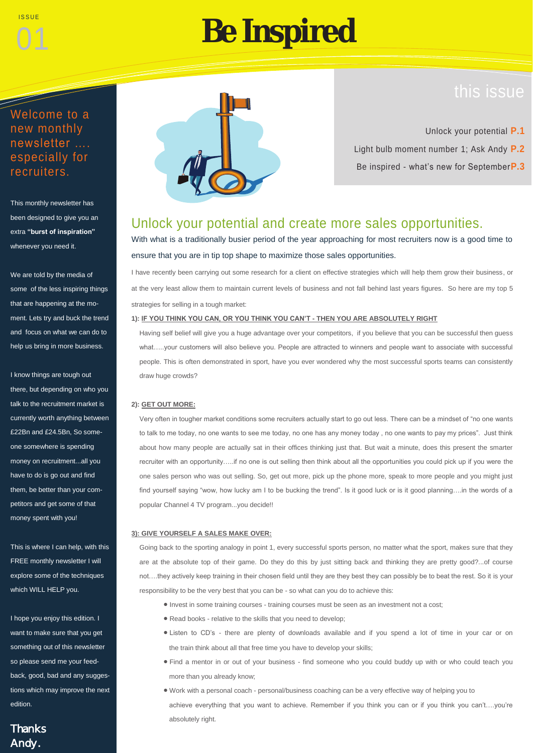01

# **Be Inspired**

## this issue

### Welcome to a new monthly newsletter …. especially for recruiters.

This monthly newsletter has been designed to give you an extra **"burst of inspiration"**  whenever you need it.

We are told by the media of some of the less inspiring things that are happening at the moment. Lets try and buck the trend and focus on what we can do to help us bring in more business.

I know things are tough out there, but depending on who you talk to the recruitment market is currently worth anything between £22Bn and £24.5Bn, So someone somewhere is spending money on recruitment...all you have to do is go out and find them, be better than your competitors and get some of that money spent with you!

This is where I can help, with this FREE monthly newsletter I will explore some of the techniques which WILL HELP you.

I hope you enjoy this edition. I want to make sure that you get something out of this newsletter so please send me your feedback, good, bad and any suggestions which may improve the next edition.

### **Thanks** Andy.



Unlock your potential **P.1** Light bulb moment number 1; Ask Andy **P.2** Be inspired - what's new for September**P.3**

### Unlock your potential and create more sales opportunities.

With what is a traditionally busier period of the year approaching for most recruiters now is a good time to ensure that you are in tip top shape to maximize those sales opportunities.

I have recently been carrying out some research for a client on effective strategies which will help them grow their business, or at the very least allow them to maintain current levels of business and not fall behind last years figures. So here are my top 5 strategies for selling in a tough market:

#### **1): IF YOU THINK YOU CAN, OR YOU THINK YOU CAN'T - THEN YOU ARE ABSOLUTELY RIGHT**

Having self belief will give you a huge advantage over your competitors, if you believe that you can be successful then guess what.....your customers will also believe you. People are attracted to winners and people want to associate with successful people. This is often demonstrated in sport, have you ever wondered why the most successful sports teams can consistently draw huge crowds?

#### **2): GET OUT MORE:**

Very often in tougher market conditions some recruiters actually start to go out less. There can be a mindset of "no one wants to talk to me today, no one wants to see me today, no one has any money today , no one wants to pay my prices". Just think about how many people are actually sat in their offices thinking just that. But wait a minute, does this present the smarter recruiter with an opportunity…..if no one is out selling then think about all the opportunities you could pick up if you were the one sales person who was out selling. So, get out more, pick up the phone more, speak to more people and you might just find yourself saying "wow, how lucky am I to be bucking the trend". Is it good luck or is it good planning....in the words of a popular Channel 4 TV program...you decide!!

#### **3): GIVE YOURSELF A SALES MAKE OVER:**

Going back to the sporting analogy in point 1, every successful sports person, no matter what the sport, makes sure that they are at the absolute top of their game. Do they do this by just sitting back and thinking they are pretty good?...of course not….they actively keep training in their chosen field until they are they best they can possibly be to beat the rest. So it is your responsibility to be the very best that you can be - so what can you do to achieve this:

- Invest in some training courses training courses must be seen as an investment not a cost;
- Read books relative to the skills that you need to develop;
- Listen to CD's there are plenty of downloads available and if you spend a lot of time in your car or on the train think about all that free time you have to develop your skills;
- Find a mentor in or out of your business find someone who you could buddy up with or who could teach you more than you already know;
- Work with a personal coach personal/business coaching can be a very effective way of helping you to achieve everything that you want to achieve. Remember if you think you can or if you think you can't....you're absolutely right.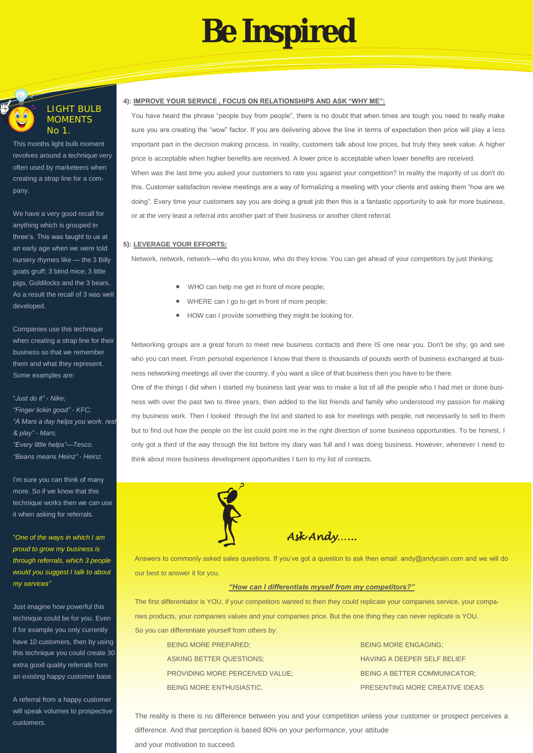## **Be Inspired**



#### LIGHT BULB MOMENTS No 1.

This months light bulb moment revolves around a technique very often used by marketeers when creating a strap line for a company.

We have a very good recall for anything which is grouped in three's. This was taught to us at an early age when we were told nursery rhymes like — the 3 Billy goats gruff; 3 blind mice; 3 little pigs, Goldilocks and the 3 bears. As a result the recall of 3 was well developed.

Companies use this technique when creating a strap line for their business so that we remember them and what they represent. Some examples are:

"*Just do it" - Nike; "Finger lickin good" - KFC; "A Mars a day helps you work, rest & play" - Mars; "Every little helps"—Tesco. "Beans means Heinz" - Heinz.*

I'm sure you can think of many more. So if we know that this technique works then we can use it when asking for referrals.

"*One of the ways in which I am proud to grow my business is through referrals, which 3 people would you suggest I talk to about my services"*

Just imagine how powerful this technique could be for you. Even if for example you only currently have 10 customers, then by using this technique you could create 30 extra good quality referrals from an existing happy customer base.

A referral from a happy customer will speak volumes to prospective customers.

#### **4): IMPROVE YOUR SERVICE , FOCUS ON RELATIONSHIPS AND ASK "WHY ME":**

You have heard the phrase "people buy from people", there is no doubt that when times are tough you need to really make sure you are creating the "wow" factor. If you are delivering above the line in terms of expectation then price will play a less important part in the decision making process. In reality, customers talk about low prices, but truly they seek value. A higher price is acceptable when higher benefits are received. A lower price is acceptable when lower benefits are received. When was the last time you asked your customers to rate you against your competition? In reality the majority of us don't do this. Customer satisfaction review meetings are a way of formalizing a meeting with your clients and asking them "how are we doing". Every time your customers say you are doing a great job then this is a fantastic opportunity to ask for more business, or at the very least a referral into another part of their business or another client referral.

#### **5): LEVERAGE YOUR EFFORTS:**

Network, network, network—who do you know, who do they know. You can get ahead of your competitors by just thinking;

- WHO can help me get in front of more people;
- WHERE can I go to get in front of more people;
- HOW can I provide something they might be looking for.

Networking groups are a great forum to meet new business contacts and there IS one near you. Don't be shy, go and see who you can meet. From personal experience I know that there is thousands of pounds worth of business exchanged at business networking meetings all over the country, if you want a slice of that business then you have to be there.

 One of the things I did when I started my business last year was to make a list of all the people who I had met or done business with over the past two to three years, then added to the list friends and family who understood my passion for making my business work. Then I looked through the list and started to ask for meetings with people, not necessarily to sell to them but to find out how the people on the list could point me in the right direction of some business opportunities. To be honest, I only got a third of the way through the list before my diary was full and I was doing business. However, whenever I need to think about more business development opportunities I turn to my list of contacts.



*Ask Andy…...* 

Answers to commonly asked sales questions. If you've got a question to ask then email: andy@andycain.com and we will do our best to answer it for you.

#### *"How can I differentiate myself from my competitors?"*

The first differentiator is YOU, if your competitors wanted to then they could replicate your companies service, your companies products, your companies values and your companies price. But the one thing they can never replicate is YOU. So you can differentiate yourself from others by:

| <b>BEING MORE PREPARED:</b>            | <b>BEING MORE ENGAGING:</b>         |
|----------------------------------------|-------------------------------------|
| <b>ASKING BETTER QUESTIONS:</b>        | <b>HAVING A DEEPER SELF BELIEF</b>  |
| <b>PROVIDING MORE PERCEIVED VALUE:</b> | <b>BEING A BETTER COMMUNICATOR:</b> |
| BEING MORE ENTHUSIASTIC.               | PRESENTING MORE CREATIVE IDEAS      |

The reality is there is no difference between you and your competition unless your customer or prospect perceives a difference. And that perception is based 80% on your performance, your attitude and your motivation to succeed.